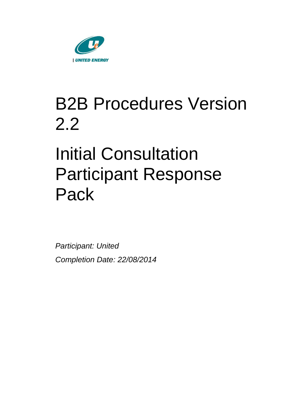

# B2B Procedures Version 2.2

# Initial Consultation Participant Response Pack

*Participant: United Completion Date: 22/08/2014*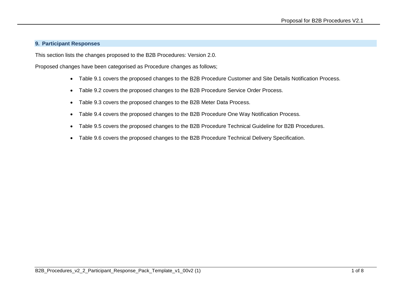#### **9. Participant Responses**

This section lists the changes proposed to the B2B Procedures: Version 2.0.

Proposed changes have been categorised as Procedure changes as follows;

- Table 9.1 covers the proposed changes to the B2B Procedure Customer and Site Details Notification Process.
- Table 9.2 covers the proposed changes to the B2B Procedure Service Order Process.
- Table 9.3 covers the proposed changes to the B2B Meter Data Process.
- Table 9.4 covers the proposed changes to the B2B Procedure One Way Notification Process.
- Table 9.5 covers the proposed changes to the B2B Procedure Technical Guideline for B2B Procedures.
- Table 9.6 covers the proposed changes to the B2B Procedure Technical Delivery Specification.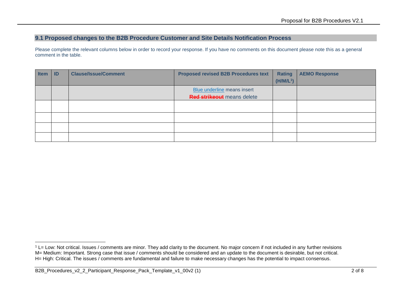## **9.1 Proposed changes to the B2B Procedure Customer and Site Details Notification Process**

Please complete the relevant columns below in order to record your response. If you have no comments on this document please note this as a general comment in the table.

| <b>Item</b> | ID | <b>Clause/Issue/Comment</b> | <b>Proposed revised B2B Procedures text</b> | <b>Rating</b> | <b>AEMO Response</b> |
|-------------|----|-----------------------------|---------------------------------------------|---------------|----------------------|
|             |    |                             |                                             | $(H/M/L^1)$   |                      |
|             |    |                             | Blue underline means insert                 |               |                      |
|             |    |                             | <b>Red strikeout</b> means delete           |               |                      |
|             |    |                             |                                             |               |                      |
|             |    |                             |                                             |               |                      |
|             |    |                             |                                             |               |                      |
|             |    |                             |                                             |               |                      |
|             |    |                             |                                             |               |                      |

 $1$  L= Low: Not critical. Issues / comments are minor. They add clarity to the document. No major concern if not included in any further revisions M= Medium: Important. Strong case that issue / comments should be considered and an update to the document is desirable, but not critical. H= High: Critical. The issues / comments are fundamental and failure to make necessary changes has the potential to impact consensus.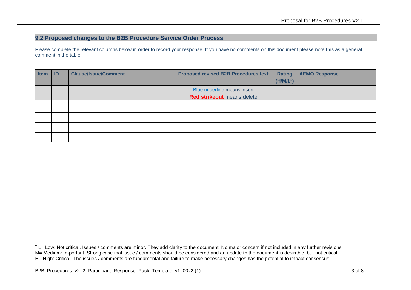## **9.2 Proposed changes to the B2B Procedure Service Order Process**

Please complete the relevant columns below in order to record your response. If you have no comments on this document please note this as a general comment in the table.

| <b>Item</b> | ID | <b>Clause/Issue/Comment</b> | <b>Proposed revised B2B Procedures text</b> | <b>Rating</b>         | <b>AEMO Response</b> |
|-------------|----|-----------------------------|---------------------------------------------|-----------------------|----------------------|
|             |    |                             |                                             | (H/M/L <sup>2</sup> ) |                      |
|             |    |                             | Blue underline means insert                 |                       |                      |
|             |    |                             | <b>Red strikeout</b> means delete           |                       |                      |
|             |    |                             |                                             |                       |                      |
|             |    |                             |                                             |                       |                      |
|             |    |                             |                                             |                       |                      |
|             |    |                             |                                             |                       |                      |
|             |    |                             |                                             |                       |                      |

 $2$  L= Low: Not critical. Issues / comments are minor. They add clarity to the document. No major concern if not included in any further revisions M= Medium: Important. Strong case that issue / comments should be considered and an update to the document is desirable, but not critical. H= High: Critical. The issues / comments are fundamental and failure to make necessary changes has the potential to impact consensus.

B2B\_Procedures\_v2\_2\_Participant\_Response\_Pack\_Template\_v1\_00v2 (1) 3 of 8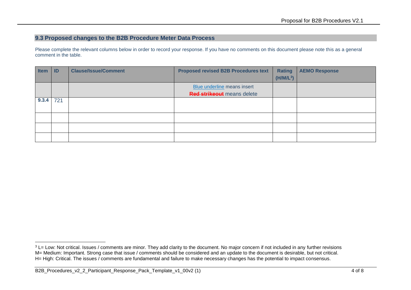## **9.3 Proposed changes to the B2B Procedure Meter Data Process**

Please complete the relevant columns below in order to record your response. If you have no comments on this document please note this as a general comment in the table.

| <b>Item</b> | $\blacksquare$ | <b>Clause/Issue/Comment</b> | <b>Proposed revised B2B Procedures text</b>                      | <b>Rating</b><br>$(H/M/L^3)$ | <b>AEMO Response</b> |
|-------------|----------------|-----------------------------|------------------------------------------------------------------|------------------------------|----------------------|
|             |                |                             | Blue underline means insert<br><b>Red strikeout</b> means delete |                              |                      |
| 9.3.4       | 721            |                             |                                                                  |                              |                      |
|             |                |                             |                                                                  |                              |                      |
|             |                |                             |                                                                  |                              |                      |
|             |                |                             |                                                                  |                              |                      |

<sup>&</sup>lt;sup>3</sup> L= Low: Not critical. Issues / comments are minor. They add clarity to the document. No major concern if not included in any further revisions M= Medium: Important. Strong case that issue / comments should be considered and an update to the document is desirable, but not critical. H= High: Critical. The issues / comments are fundamental and failure to make necessary changes has the potential to impact consensus.

B2B\_Procedures\_v2\_2\_Participant\_Response\_Pack\_Template\_v1\_00v2 (1) 4 of 8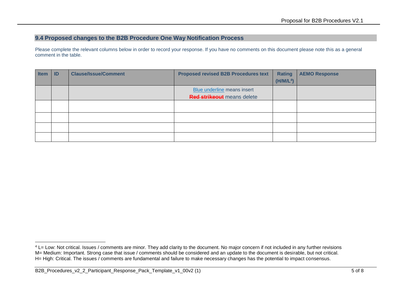## **9.4 Proposed changes to the B2B Procedure One Way Notification Process**

Please complete the relevant columns below in order to record your response. If you have no comments on this document please note this as a general comment in the table.

| <b>Item</b> | ID | <b>Clause/Issue/Comment</b> | <b>Proposed revised B2B Procedures text</b> | <b>Rating</b>         | <b>AEMO Response</b> |
|-------------|----|-----------------------------|---------------------------------------------|-----------------------|----------------------|
|             |    |                             |                                             | (H/M/L <sup>4</sup> ) |                      |
|             |    |                             | Blue underline means insert                 |                       |                      |
|             |    |                             | <b>Red strikeout</b> means delete           |                       |                      |
|             |    |                             |                                             |                       |                      |
|             |    |                             |                                             |                       |                      |
|             |    |                             |                                             |                       |                      |
|             |    |                             |                                             |                       |                      |
|             |    |                             |                                             |                       |                      |

<sup>&</sup>lt;sup>4</sup> L= Low: Not critical. Issues / comments are minor. They add clarity to the document. No major concern if not included in any further revisions M= Medium: Important. Strong case that issue / comments should be considered and an update to the document is desirable, but not critical. H= High: Critical. The issues / comments are fundamental and failure to make necessary changes has the potential to impact consensus.

B2B\_Procedures\_v2\_2\_Participant\_Response\_Pack\_Template\_v1\_00v2 (1) 5 of 8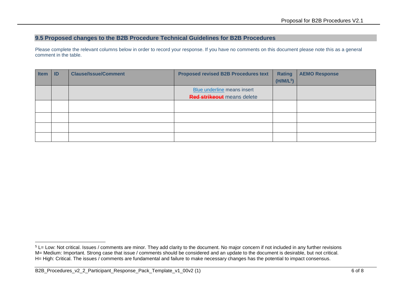#### **9.5 Proposed changes to the B2B Procedure Technical Guidelines for B2B Procedures**

Please complete the relevant columns below in order to record your response. If you have no comments on this document please note this as a general comment in the table.

| <b>Item</b> | $\blacksquare$ | <b>Clause/Issue/Comment</b> | <b>Proposed revised B2B Procedures text</b> | Rating<br>(H/M/L <sup>5</sup> ) | <b>AEMO Response</b> |
|-------------|----------------|-----------------------------|---------------------------------------------|---------------------------------|----------------------|
|             |                |                             | Blue underline means insert                 |                                 |                      |
|             |                |                             | <b>Red strikeout</b> means delete           |                                 |                      |
|             |                |                             |                                             |                                 |                      |
|             |                |                             |                                             |                                 |                      |
|             |                |                             |                                             |                                 |                      |
|             |                |                             |                                             |                                 |                      |

 $5$  L= Low: Not critical. Issues / comments are minor. They add clarity to the document. No major concern if not included in any further revisions M= Medium: Important. Strong case that issue / comments should be considered and an update to the document is desirable, but not critical. H= High: Critical. The issues / comments are fundamental and failure to make necessary changes has the potential to impact consensus.

B2B\_Procedures\_v2\_2\_Participant\_Response\_Pack\_Template\_v1\_00v2 (1) 6 of 8